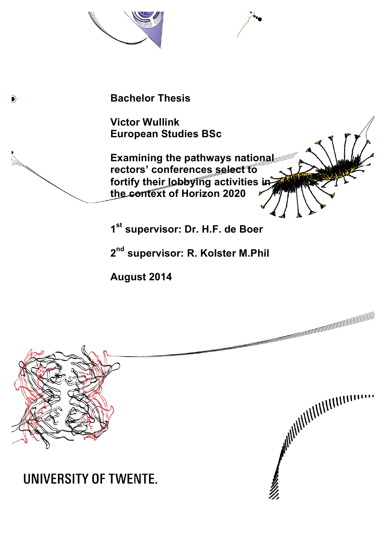

**Victor Wullink European Studies BSc**

**Examining the pathways national rectors' conferences select to fortify their lobbying activities in the context of Horizon 2020**

**1st supervisor: Dr. H.F. de Boer**

**2nd supervisor: R. Kolster M.Phil**

**ANIMAL REPORTMENT REPORTMENT** 

**August 2014**



 $\mathbf{D}$ 

# **UNIVERSITY OF TWENTE.**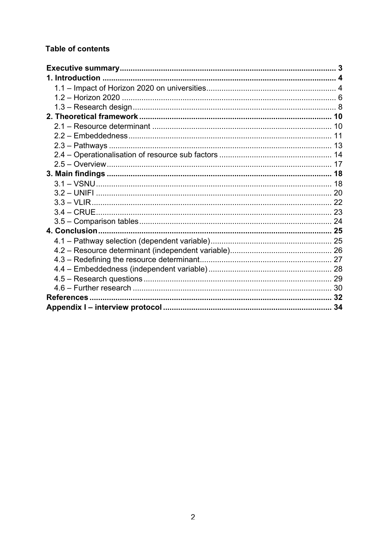## **Table of contents**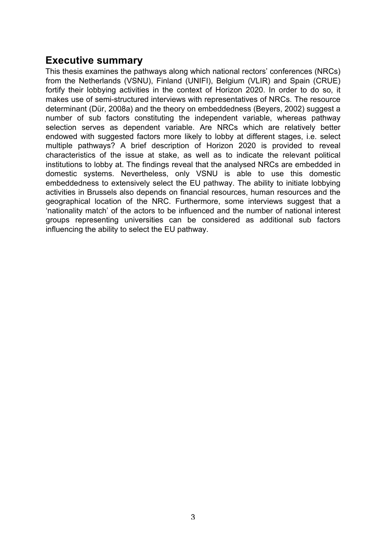## **Executive summary**

This thesis examines the pathways along which national rectors' conferences (NRCs) from the Netherlands (VSNU), Finland (UNIFI), Belgium (VLIR) and Spain (CRUE) fortify their lobbying activities in the context of Horizon 2020. In order to do so, it makes use of semi-structured interviews with representatives of NRCs. The resource determinant (Dür, 2008a) and the theory on embeddedness (Beyers, 2002) suggest a number of sub factors constituting the independent variable, whereas pathway selection serves as dependent variable. Are NRCs which are relatively better endowed with suggested factors more likely to lobby at different stages, i.e. select multiple pathways? A brief description of Horizon 2020 is provided to reveal characteristics of the issue at stake, as well as to indicate the relevant political institutions to lobby at. The findings reveal that the analysed NRCs are embedded in domestic systems. Nevertheless, only VSNU is able to use this domestic embeddedness to extensively select the EU pathway. The ability to initiate lobbying activities in Brussels also depends on financial resources, human resources and the geographical location of the NRC. Furthermore, some interviews suggest that a 'nationality match' of the actors to be influenced and the number of national interest groups representing universities can be considered as additional sub factors influencing the ability to select the EU pathway.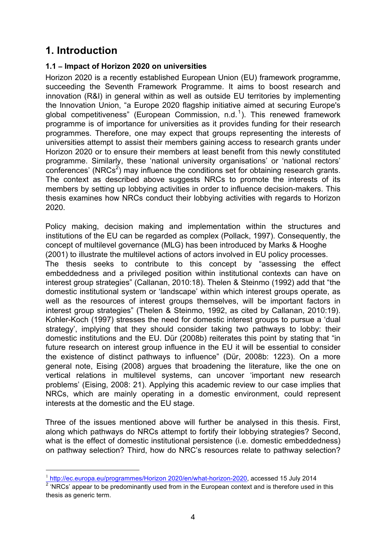## **1. Introduction**

## **1.1 – Impact of Horizon 2020 on universities**

Horizon 2020 is a recently established European Union (EU) framework programme, succeeding the Seventh Framework Programme. It aims to boost research and innovation (R&I) in general within as well as outside EU territories by implementing the Innovation Union, "a Europe 2020 flagship initiative aimed at securing Europe's global competitiveness" (European Commission, n.d.<sup>1</sup>). This renewed framework programme is of importance for universities as it provides funding for their research programmes. Therefore, one may expect that groups representing the interests of universities attempt to assist their members gaining access to research grants under Horizon 2020 or to ensure their members at least benefit from this newly constituted programme. Similarly, these 'national university organisations' or 'national rectors' conferences' (NRCs<sup>2</sup>) may influence the conditions set for obtaining research grants. The context as described above suggests NRCs to promote the interests of its members by setting up lobbying activities in order to influence decision-makers. This thesis examines how NRCs conduct their lobbying activities with regards to Horizon 2020.

Policy making, decision making and implementation within the structures and institutions of the EU can be regarded as complex (Pollack, 1997). Consequently, the concept of multilevel governance (MLG) has been introduced by Marks & Hooghe (2001) to illustrate the multilevel actions of actors involved in EU policy processes.

The thesis seeks to contribute to this concept by "assessing the effect embeddedness and a privileged position within institutional contexts can have on interest group strategies" (Callanan, 2010:18). Thelen & Steinmo (1992) add that "the domestic institutional system or 'landscape' within which interest groups operate, as well as the resources of interest groups themselves, will be important factors in interest group strategies" (Thelen & Steinmo, 1992, as cited by Callanan, 2010:19). Kohler-Koch (1997) stresses the need for domestic interest groups to pursue a 'dual strategy', implying that they should consider taking two pathways to lobby: their domestic institutions and the EU. Dür (2008b) reiterates this point by stating that "in future research on interest group influence in the EU it will be essential to consider the existence of distinct pathways to influence" (Dür, 2008b: 1223). On a more general note, Eising (2008) argues that broadening the literature, like the one on vertical relations in multilevel systems, can uncover 'important new research problems' (Eising, 2008: 21). Applying this academic review to our case implies that NRCs, which are mainly operating in a domestic environment, could represent interests at the domestic and the EU stage.

Three of the issues mentioned above will further be analysed in this thesis. First, along which pathways do NRCs attempt to fortify their lobbying strategies? Second, what is the effect of domestic institutional persistence (i.e. domestic embeddedness) on pathway selection? Third, how do NRC's resources relate to pathway selection?

 $\overline{a}$ 

<sup>&</sup>lt;sup>1</sup> http://ec.europa.eu/programmes/Horizon 2020/en/what-horizon-2020, accessed 15 July 2014  $2$  'NRCs' appear to be predominantly used from in the European context and is therefore used in this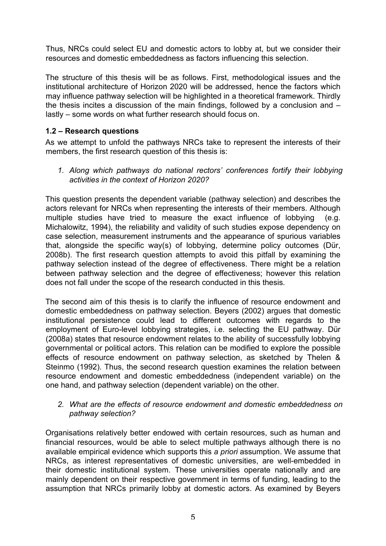Thus, NRCs could select EU and domestic actors to lobby at, but we consider their resources and domestic embeddedness as factors influencing this selection.

The structure of this thesis will be as follows. First, methodological issues and the institutional architecture of Horizon 2020 will be addressed, hence the factors which may influence pathway selection will be highlighted in a theoretical framework. Thirdly the thesis incites a discussion of the main findings, followed by a conclusion and – lastly – some words on what further research should focus on.

## **1.2 – Research questions**

As we attempt to unfold the pathways NRCs take to represent the interests of their members, the first research question of this thesis is:

*1. Along which pathways do national rectors' conferences fortify their lobbying activities in the context of Horizon 2020?* 

This question presents the dependent variable (pathway selection) and describes the actors relevant for NRCs when representing the interests of their members. Although multiple studies have tried to measure the exact influence of lobbying (e.g. Michalowitz, 1994), the reliability and validity of such studies expose dependency on case selection, measurement instruments and the appearance of spurious variables that, alongside the specific way(s) of lobbying, determine policy outcomes (Dür, 2008b). The first research question attempts to avoid this pitfall by examining the pathway selection instead of the degree of effectiveness. There might be a relation between pathway selection and the degree of effectiveness; however this relation does not fall under the scope of the research conducted in this thesis.

The second aim of this thesis is to clarify the influence of resource endowment and domestic embeddedness on pathway selection. Beyers (2002) argues that domestic institutional persistence could lead to different outcomes with regards to the employment of Euro-level lobbying strategies, i.e. selecting the EU pathway. Dür (2008a) states that resource endowment relates to the ability of successfully lobbying governmental or political actors. This relation can be modified to explore the possible effects of resource endowment on pathway selection, as sketched by Thelen & Steinmo (1992). Thus, the second research question examines the relation between resource endowment and domestic embeddedness (independent variable) on the one hand, and pathway selection (dependent variable) on the other.

#### *2. What are the effects of resource endowment and domestic embeddedness on pathway selection?*

Organisations relatively better endowed with certain resources, such as human and financial resources, would be able to select multiple pathways although there is no available empirical evidence which supports this *a priori* assumption. We assume that NRCs, as interest representatives of domestic universities, are well-embedded in their domestic institutional system. These universities operate nationally and are mainly dependent on their respective government in terms of funding, leading to the assumption that NRCs primarily lobby at domestic actors. As examined by Beyers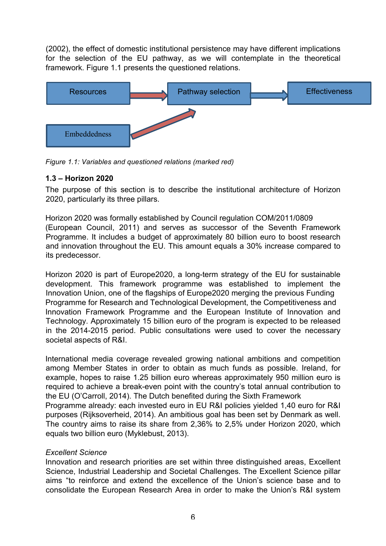(2002), the effect of domestic institutional persistence may have different implications for the selection of the EU pathway, as we will contemplate in the theoretical framework. Figure 1.1 presents the questioned relations.



*Figure 1.1: Variables and questioned relations (marked red)* 

## **1.3 – Horizon 2020**

The purpose of this section is to describe the institutional architecture of Horizon 2020, particularly its three pillars.

Horizon 2020 was formally established by Council regulation COM/2011/0809 (European Council, 2011) and serves as successor of the Seventh Framework Programme. It includes a budget of approximately 80 billion euro to boost research and innovation throughout the EU. This amount equals a 30% increase compared to its predecessor.

Horizon 2020 is part of Europe2020, a long-term strategy of the EU for sustainable development. This framework programme was established to implement the Innovation Union, one of the flagships of Europe2020 merging the previous Funding Programme for Research and Technological Development, the Competitiveness and Innovation Framework Programme and the European Institute of Innovation and Technology. Approximately 15 billion euro of the program is expected to be released in the 2014-2015 period. Public consultations were used to cover the necessary societal aspects of R&I.

International media coverage revealed growing national ambitions and competition among Member States in order to obtain as much funds as possible. Ireland, for example, hopes to raise 1.25 billion euro whereas approximately 950 million euro is required to achieve a break-even point with the country's total annual contribution to the EU (O'Carroll, 2014). The Dutch benefited during the Sixth Framework Programme already: each invested euro in EU R&I policies yielded 1,40 euro for R&I

purposes (Rijksoverheid, 2014). An ambitious goal has been set by Denmark as well. The country aims to raise its share from 2,36% to 2,5% under Horizon 2020, which equals two billion euro (Myklebust, 2013).

#### *Excellent Science*

Innovation and research priorities are set within three distinguished areas, Excellent Science, Industrial Leadership and Societal Challenges. The Excellent Science pillar aims "to reinforce and extend the excellence of the Union's science base and to consolidate the European Research Area in order to make the Union's R&I system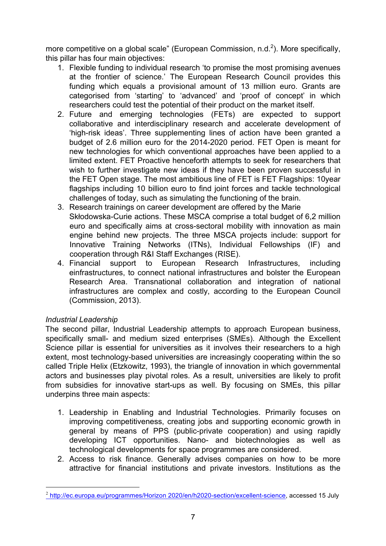more competitive on a global scale" (European Commission, n.d.<sup>2</sup>). More specifically, this pillar has four main objectives:

- 1. Flexible funding to individual research 'to promise the most promising avenues at the frontier of science.' The European Research Council provides this funding which equals a provisional amount of 13 million euro. Grants are categorised from 'starting' to 'advanced' and 'proof of concept' in which researchers could test the potential of their product on the market itself.
- 2. Future and emerging technologies (FETs) are expected to support collaborative and interdisciplinary research and accelerate development of 'high-risk ideas'. Three supplementing lines of action have been granted a budget of 2.6 million euro for the 2014-2020 period. FET Open is meant for new technologies for which conventional approaches have been applied to a limited extent. FET Proactive henceforth attempts to seek for researchers that wish to further investigate new ideas if they have been proven successful in the FET Open stage. The most ambitious line of FET is FET Flagships: 10year flagships including 10 billion euro to find joint forces and tackle technological challenges of today, such as simulating the functioning of the brain.
- 3. Research trainings on career development are offered by the Marie Skłodowska-Curie actions. These MSCA comprise a total budget of 6,2 million euro and specifically aims at cross-sectoral mobility with innovation as main engine behind new projects. The three MSCA projects include: support for Innovative Training Networks (ITNs), Individual Fellowships (IF) and cooperation through R&I Staff Exchanges (RISE).
- 4. Financial support to European Research Infrastructures, including einfrastructures, to connect national infrastructures and bolster the European Research Area. Transnational collaboration and integration of national infrastructures are complex and costly, according to the European Council (Commission, 2013).

## *Industrial Leadership*

l

The second pillar, Industrial Leadership attempts to approach European business, specifically small- and medium sized enterprises (SMEs). Although the Excellent Science pillar is essential for universities as it involves their researchers to a high extent, most technology-based universities are increasingly cooperating within the so called Triple Helix (Etzkowitz, 1993), the triangle of innovation in which governmental actors and businesses play pivotal roles. As a result, universities are likely to profit from subsidies for innovative start-ups as well. By focusing on SMEs, this pillar underpins three main aspects:

- 1. Leadership in Enabling and Industrial Technologies. Primarily focuses on improving competitiveness, creating jobs and supporting economic growth in general by means of PPS (public-private cooperation) and using rapidly developing ICT opportunities. Nano- and biotechnologies as well as technological developments for space programmes are considered.
- 2. Access to risk finance. Generally advises companies on how to be more attractive for financial institutions and private investors. Institutions as the

<sup>2</sup> http://ec.europa.eu/programmes/Horizon 2020/en/h2020-section/excellent-science, accessed 15 July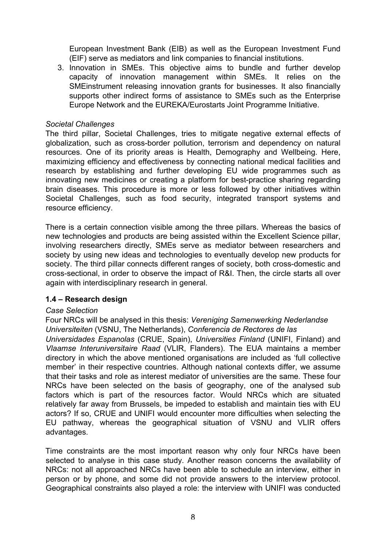European Investment Bank (EIB) as well as the European Investment Fund (EIF) serve as mediators and link companies to financial institutions.

3. Innovation in SMEs. This objective aims to bundle and further develop capacity of innovation management within SMEs. It relies on the SMEinstrument releasing innovation grants for businesses. It also financially supports other indirect forms of assistance to SMEs such as the Enterprise Europe Network and the EUREKA/Eurostarts Joint Programme Initiative.

#### *Societal Challenges*

The third pillar, Societal Challenges, tries to mitigate negative external effects of globalization, such as cross-border pollution, terrorism and dependency on natural resources. One of its priority areas is Health, Demography and Wellbeing. Here, maximizing efficiency and effectiveness by connecting national medical facilities and research by establishing and further developing EU wide programmes such as innovating new medicines or creating a platform for best-practice sharing regarding brain diseases. This procedure is more or less followed by other initiatives within Societal Challenges, such as food security, integrated transport systems and resource efficiency.

There is a certain connection visible among the three pillars. Whereas the basics of new technologies and products are being assisted within the Excellent Science pillar, involving researchers directly, SMEs serve as mediator between researchers and society by using new ideas and technologies to eventually develop new products for society. The third pillar connects different ranges of society, both cross-domestic and cross-sectional, in order to observe the impact of R&I. Then, the circle starts all over again with interdisciplinary research in general.

#### **1.4 – Research design**

#### *Case Selection*

Four NRCs will be analysed in this thesis: *Vereniging Samenwerking Nederlandse Universiteiten* (VSNU, The Netherlands), *Conferencia de Rectores de las* 

*Universidades Espanolas* (CRUE, Spain), *Universities Finland* (UNIFI, Finland) and *Vlaamse Interuniversitaire Raad* (VLIR, Flanders). The EUA maintains a member directory in which the above mentioned organisations are included as 'full collective member' in their respective countries. Although national contexts differ, we assume that their tasks and role as interest mediator of universities are the same. These four NRCs have been selected on the basis of geography, one of the analysed sub factors which is part of the resources factor. Would NRCs which are situated relatively far away from Brussels, be impeded to establish and maintain ties with EU actors? If so, CRUE and UNIFI would encounter more difficulties when selecting the EU pathway, whereas the geographical situation of VSNU and VLIR offers advantages.

Time constraints are the most important reason why only four NRCs have been selected to analyse in this case study. Another reason concerns the availability of NRCs: not all approached NRCs have been able to schedule an interview, either in person or by phone, and some did not provide answers to the interview protocol. Geographical constraints also played a role: the interview with UNIFI was conducted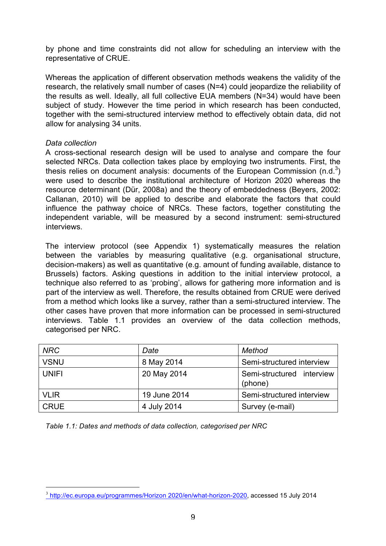by phone and time constraints did not allow for scheduling an interview with the representative of CRUE.

Whereas the application of different observation methods weakens the validity of the research, the relatively small number of cases (N=4) could jeopardize the reliability of the results as well. Ideally, all full collective EUA members (N=34) would have been subject of study. However the time period in which research has been conducted, together with the semi-structured interview method to effectively obtain data, did not allow for analysing 34 units.

#### *Data collection*

l

A cross-sectional research design will be used to analyse and compare the four selected NRCs. Data collection takes place by employing two instruments. First, the thesis relies on document analysis: documents of the European Commission (n.d.<sup>3</sup>) were used to describe the institutional architecture of Horizon 2020 whereas the resource determinant (Dür, 2008a) and the theory of embeddedness (Beyers, 2002: Callanan, 2010) will be applied to describe and elaborate the factors that could influence the pathway choice of NRCs. These factors, together constituting the independent variable, will be measured by a second instrument: semi-structured interviews.

The interview protocol (see Appendix 1) systematically measures the relation between the variables by measuring qualitative (e.g. organisational structure, decision-makers) as well as quantitative (e.g. amount of funding available, distance to Brussels) factors. Asking questions in addition to the initial interview protocol, a technique also referred to as 'probing', allows for gathering more information and is part of the interview as well. Therefore, the results obtained from CRUE were derived from a method which looks like a survey, rather than a semi-structured interview. The other cases have proven that more information can be processed in semi-structured interviews. Table 1.1 provides an overview of the data collection methods, categorised per NRC.

| <b>NRC</b>   | Date         | Method                               |
|--------------|--------------|--------------------------------------|
| <b>VSNU</b>  | 8 May 2014   | Semi-structured interview            |
| <b>UNIFI</b> | 20 May 2014  | Semi-structured interview<br>(phone) |
| <b>VLIR</b>  | 19 June 2014 | Semi-structured interview            |
| <b>CRUE</b>  | 4 July 2014  | Survey (e-mail)                      |

*Table 1.1: Dates and methods of data collection, categorised per NRC*

<sup>3</sup> http://ec.europa.eu/programmes/Horizon 2020/en/what-horizon-2020, accessed 15 July 2014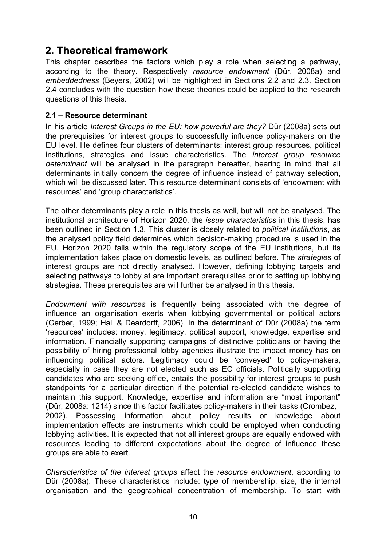## **2. Theoretical framework**

This chapter describes the factors which play a role when selecting a pathway, according to the theory. Respectively *resource endowment* (Dür, 2008a) and *embeddedness* (Beyers, 2002) will be highlighted in Sections 2.2 and 2.3. Section 2.4 concludes with the question how these theories could be applied to the research questions of this thesis.

### **2.1 – Resource determinant**

In his article *Interest Groups in the EU: how powerful are they?* Dür (2008a) sets out the prerequisites for interest groups to successfully influence policy-makers on the EU level. He defines four clusters of determinants: interest group resources, political institutions, strategies and issue characteristics. The *interest group resource determinant* will be analysed in the paragraph hereafter, bearing in mind that all determinants initially concern the degree of influence instead of pathway selection, which will be discussed later*.* This resource determinant consists of 'endowment with resources' and 'group characteristics'.

The other determinants play a role in this thesis as well, but will not be analysed. The institutional architecture of Horizon 2020, the *issue characteristics* in this thesis, has been outlined in Section 1.3*.* This cluster is closely related to *political institutions*, as the analysed policy field determines which decision-making procedure is used in the EU. Horizon 2020 falls within the regulatory scope of the EU institutions, but its implementation takes place on domestic levels, as outlined before. The *strategies* of interest groups are not directly analysed. However, defining lobbying targets and selecting pathways to lobby at are important prerequisites prior to setting up lobbying strategies. These prerequisites are will further be analysed in this thesis.

*Endowment with resources* is frequently being associated with the degree of influence an organisation exerts when lobbying governmental or political actors (Gerber, 1999; Hall & Deardorff, 2006). In the determinant of Dür (2008a) the term 'resources' includes: money, legitimacy, political support, knowledge, expertise and information. Financially supporting campaigns of distinctive politicians or having the possibility of hiring professional lobby agencies illustrate the impact money has on influencing political actors. Legitimacy could be 'conveyed' to policy-makers, especially in case they are not elected such as EC officials. Politically supporting candidates who are seeking office, entails the possibility for interest groups to push standpoints for a particular direction if the potential re-elected candidate wishes to maintain this support. Knowledge, expertise and information are "most important" (Dür, 2008a: 1214) since this factor facilitates policy-makers in their tasks (Crombez, 2002). Possessing information about policy results or knowledge about implementation effects are instruments which could be employed when conducting lobbying activities. It is expected that not all interest groups are equally endowed with resources leading to different expectations about the degree of influence these groups are able to exert.

*Characteristics of the interest groups* affect the *resource endowment*, according to Dür (2008a). These characteristics include: type of membership, size, the internal organisation and the geographical concentration of membership. To start with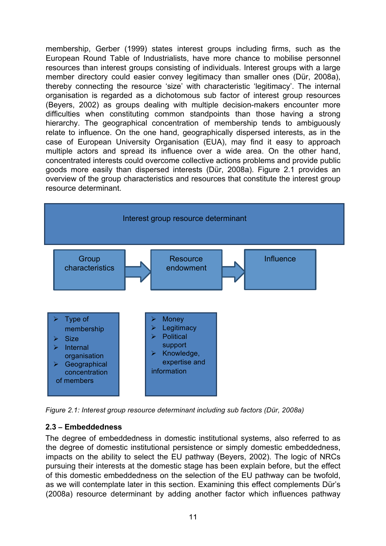membership, Gerber (1999) states interest groups including firms, such as the European Round Table of Industrialists, have more chance to mobilise personnel resources than interest groups consisting of individuals. Interest groups with a large member directory could easier convey legitimacy than smaller ones (Dür, 2008a), thereby connecting the resource 'size' with characteristic 'legitimacy'. The internal organisation is regarded as a dichotomous sub factor of interest group resources (Beyers, 2002) as groups dealing with multiple decision-makers encounter more difficulties when constituting common standpoints than those having a strong hierarchy. The geographical concentration of membership tends to ambiguously relate to influence. On the one hand, geographically dispersed interests, as in the case of European University Organisation (EUA), may find it easy to approach multiple actors and spread its influence over a wide area. On the other hand, concentrated interests could overcome collective actions problems and provide public goods more easily than dispersed interests (Dür, 2008a). Figure 2.1 provides an overview of the group characteristics and resources that constitute the interest group resource determinant.



*Figure 2.1: Interest group resource determinant including sub factors (Dür, 2008a)* 

## **2.3 – Embeddedness**

The degree of embeddedness in domestic institutional systems, also referred to as the degree of domestic institutional persistence or simply domestic embeddedness, impacts on the ability to select the EU pathway (Beyers, 2002). The logic of NRCs pursuing their interests at the domestic stage has been explain before, but the effect of this domestic embeddedness on the selection of the EU pathway can be twofold, as we will contemplate later in this section. Examining this effect complements Dür's (2008a) resource determinant by adding another factor which influences pathway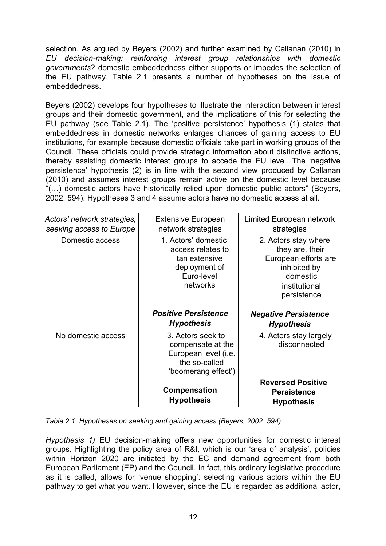selection. As argued by Beyers (2002) and further examined by Callanan (2010) in *EU decision-making: reinforcing interest group relationships with domestic governments*? domestic embeddedness either supports or impedes the selection of the EU pathway. Table 2.1 presents a number of hypotheses on the issue of embeddedness.

Beyers (2002) develops four hypotheses to illustrate the interaction between interest groups and their domestic government, and the implications of this for selecting the EU pathway (see Table 2.1). The 'positive persistence' hypothesis (1) states that embeddedness in domestic networks enlarges chances of gaining access to EU institutions, for example because domestic officials take part in working groups of the Council. These officials could provide strategic information about distinctive actions, thereby assisting domestic interest groups to accede the EU level. The 'negative persistence' hypothesis (2) is in line with the second view produced by Callanan (2010) and assumes interest groups remain active on the domestic level because "(…) domestic actors have historically relied upon domestic public actors" (Beyers, 2002: 594). Hypotheses 3 and 4 assume actors have no domestic access at all.

| Actors' network strategies,<br>seeking access to Europe | <b>Extensive European</b><br>network strategies                                                        | Limited European network<br>strategies                                                                                      |
|---------------------------------------------------------|--------------------------------------------------------------------------------------------------------|-----------------------------------------------------------------------------------------------------------------------------|
| Domestic access                                         | 1. Actors' domestic<br>access relates to<br>tan extensive<br>deployment of<br>Euro-level<br>networks   | 2. Actors stay where<br>they are, their<br>European efforts are<br>inhibited by<br>domestic<br>institutional<br>persistence |
|                                                         |                                                                                                        |                                                                                                                             |
|                                                         | <b>Positive Persistence</b><br><b>Hypothesis</b>                                                       | <b>Negative Persistence</b><br><b>Hypothesis</b>                                                                            |
| No domestic access                                      | 3. Actors seek to<br>compensate at the<br>European level (i.e.<br>the so-called<br>'boomerang effect') | 4. Actors stay largely<br>disconnected                                                                                      |

*Table 2.1: Hypotheses on seeking and gaining access (Beyers, 2002: 594)* 

*Hypothesis 1)* EU decision-making offers new opportunities for domestic interest groups. Highlighting the policy area of R&I, which is our 'area of analysis', policies within Horizon 2020 are initiated by the EC and demand agreement from both European Parliament (EP) and the Council. In fact, this ordinary legislative procedure as it is called, allows for 'venue shopping': selecting various actors within the EU pathway to get what you want. However, since the EU is regarded as additional actor,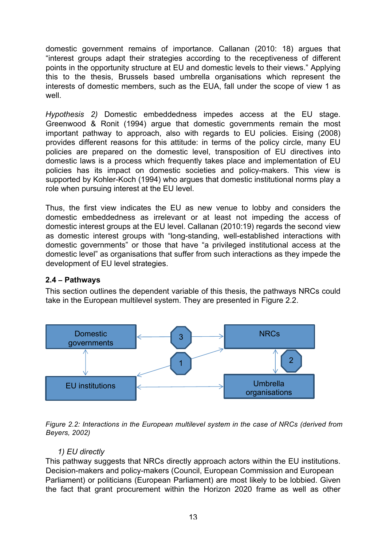domestic government remains of importance. Callanan (2010: 18) argues that "interest groups adapt their strategies according to the receptiveness of different points in the opportunity structure at EU and domestic levels to their views." Applying this to the thesis, Brussels based umbrella organisations which represent the interests of domestic members, such as the EUA, fall under the scope of view 1 as well.

*Hypothesis 2)* Domestic embeddedness impedes access at the EU stage. Greenwood & Ronit (1994) argue that domestic governments remain the most important pathway to approach, also with regards to EU policies. Eising (2008) provides different reasons for this attitude: in terms of the policy circle, many EU policies are prepared on the domestic level, transposition of EU directives into domestic laws is a process which frequently takes place and implementation of EU policies has its impact on domestic societies and policy-makers. This view is supported by Kohler-Koch (1994) who argues that domestic institutional norms play a role when pursuing interest at the EU level.

Thus, the first view indicates the EU as new venue to lobby and considers the domestic embeddedness as irrelevant or at least not impeding the access of domestic interest groups at the EU level. Callanan (2010:19) regards the second view as domestic interest groups with "long-standing, well-established interactions with domestic governments" or those that have "a privileged institutional access at the domestic level" as organisations that suffer from such interactions as they impede the development of EU level strategies.

## **2.4 – Pathways**

This section outlines the dependent variable of this thesis, the pathways NRCs could take in the European multilevel system. They are presented in Figure 2.2.



*Figure 2.2: Interactions in the European multilevel system in the case of NRCs (derived from Beyers, 2002)* 

## *1) EU directly*

This pathway suggests that NRCs directly approach actors within the EU institutions. Decision-makers and policy-makers (Council, European Commission and European Parliament) or politicians (European Parliament) are most likely to be lobbied. Given the fact that grant procurement within the Horizon 2020 frame as well as other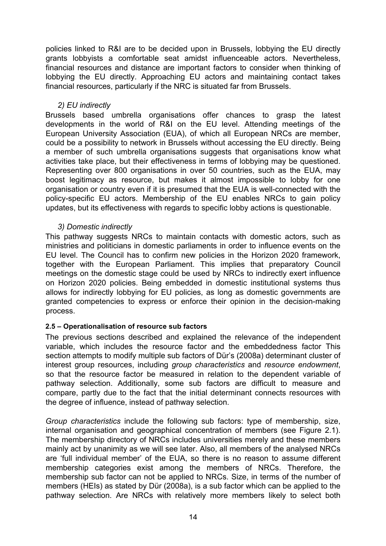policies linked to R&I are to be decided upon in Brussels, lobbying the EU directly grants lobbyists a comfortable seat amidst influenceable actors. Nevertheless, financial resources and distance are important factors to consider when thinking of lobbying the EU directly. Approaching EU actors and maintaining contact takes financial resources, particularly if the NRC is situated far from Brussels.

#### *2) EU indirectly*

Brussels based umbrella organisations offer chances to grasp the latest developments in the world of R&I on the EU level. Attending meetings of the European University Association (EUA), of which all European NRCs are member, could be a possibility to network in Brussels without accessing the EU directly. Being a member of such umbrella organisations suggests that organisations know what activities take place, but their effectiveness in terms of lobbying may be questioned. Representing over 800 organisations in over 50 countries, such as the EUA, may boost legitimacy as resource, but makes it almost impossible to lobby for one organisation or country even if it is presumed that the EUA is well-connected with the policy-specific EU actors. Membership of the EU enables NRCs to gain policy updates, but its effectiveness with regards to specific lobby actions is questionable.

### *3) Domestic indirectly*

This pathway suggests NRCs to maintain contacts with domestic actors, such as ministries and politicians in domestic parliaments in order to influence events on the EU level. The Council has to confirm new policies in the Horizon 2020 framework, together with the European Parliament. This implies that preparatory Council meetings on the domestic stage could be used by NRCs to indirectly exert influence on Horizon 2020 policies. Being embedded in domestic institutional systems thus allows for indirectly lobbying for EU policies, as long as domestic governments are granted competencies to express or enforce their opinion in the decision-making process.

#### **2.5 – Operationalisation of resource sub factors**

The previous sections described and explained the relevance of the independent variable, which includes the resource factor and the embeddedness factor This section attempts to modify multiple sub factors of Dür's (2008a) determinant cluster of interest group resources, including *group characteristics* and *resource endowment*, so that the resource factor be measured in relation to the dependent variable of pathway selection. Additionally, some sub factors are difficult to measure and compare, partly due to the fact that the initial determinant connects resources with the degree of influence, instead of pathway selection.

*Group characteristics* include the following sub factors: type of membership, size, internal organisation and geographical concentration of members (see Figure 2.1). The membership directory of NRCs includes universities merely and these members mainly act by unanimity as we will see later. Also, all members of the analysed NRCs are 'full individual member' of the EUA, so there is no reason to assume different membership categories exist among the members of NRCs. Therefore, the membership sub factor can not be applied to NRCs. Size, in terms of the number of members (HEIs) as stated by Dür (2008a), is a sub factor which can be applied to the pathway selection. Are NRCs with relatively more members likely to select both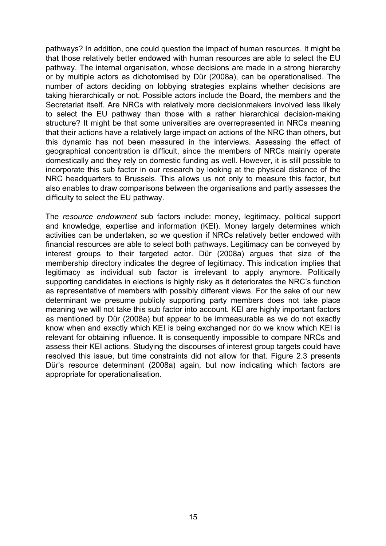pathways? In addition, one could question the impact of human resources. It might be that those relatively better endowed with human resources are able to select the EU pathway. The internal organisation, whose decisions are made in a strong hierarchy or by multiple actors as dichotomised by Dür (2008a), can be operationalised. The number of actors deciding on lobbying strategies explains whether decisions are taking hierarchically or not. Possible actors include the Board, the members and the Secretariat itself. Are NRCs with relatively more decisionmakers involved less likely to select the EU pathway than those with a rather hierarchical decision-making structure? It might be that some universities are overrepresented in NRCs meaning that their actions have a relatively large impact on actions of the NRC than others, but this dynamic has not been measured in the interviews. Assessing the effect of geographical concentration is difficult, since the members of NRCs mainly operate domestically and they rely on domestic funding as well. However, it is still possible to incorporate this sub factor in our research by looking at the physical distance of the NRC headquarters to Brussels. This allows us not only to measure this factor, but also enables to draw comparisons between the organisations and partly assesses the difficulty to select the EU pathway.

The *resource endowment* sub factors include: money, legitimacy, political support and knowledge, expertise and information (KEI). Money largely determines which activities can be undertaken, so we question if NRCs relatively better endowed with financial resources are able to select both pathways. Legitimacy can be conveyed by interest groups to their targeted actor. Dür (2008a) argues that size of the membership directory indicates the degree of legitimacy. This indication implies that legitimacy as individual sub factor is irrelevant to apply anymore. Politically supporting candidates in elections is highly risky as it deteriorates the NRC's function as representative of members with possibly different views. For the sake of our new determinant we presume publicly supporting party members does not take place meaning we will not take this sub factor into account. KEI are highly important factors as mentioned by Dür (2008a) but appear to be immeasurable as we do not exactly know when and exactly which KEI is being exchanged nor do we know which KEI is relevant for obtaining influence. It is consequently impossible to compare NRCs and assess their KEI actions. Studying the discourses of interest group targets could have resolved this issue, but time constraints did not allow for that. Figure 2.3 presents Dür's resource determinant (2008a) again, but now indicating which factors are appropriate for operationalisation.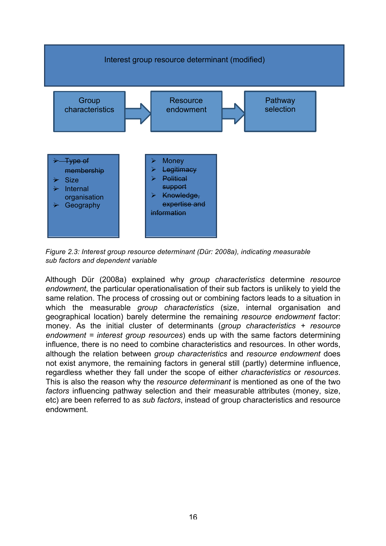

*Figure 2.3: Interest group resource determinant (Dür: 2008a), indicating measurable sub factors and dependent variable* 

Although Dür (2008a) explained why *group characteristics* determine *resource endowment*, the particular operationalisation of their sub factors is unlikely to yield the same relation. The process of crossing out or combining factors leads to a situation in which the measurable *group characteristics* (size, internal organisation and geographical location) barely determine the remaining *resource endowment* factor: money. As the initial cluster of determinants (*group characteristics + resource endowment = interest group resources*) ends up with the same factors determining influence, there is no need to combine characteristics and resources. In other words, although the relation between *group characteristics* and *resource endowment* does not exist anymore, the remaining factors in general still (partly) determine influence, regardless whether they fall under the scope of either *characteristics* or *resources*. This is also the reason why the *resource determinant* is mentioned as one of the two *factors* influencing pathway selection and their measurable attributes (money, size, etc) are been referred to as *sub factors*, instead of group characteristics and resource endowment.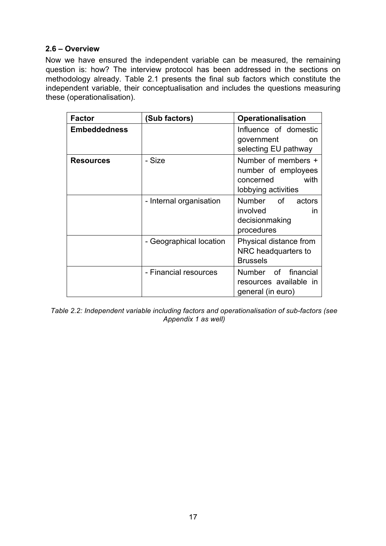### **2.6 – Overview**

Now we have ensured the independent variable can be measured, the remaining question is: how? The interview protocol has been addressed in the sections on methodology already. Table 2.1 presents the final sub factors which constitute the independent variable, their conceptualisation and includes the questions measuring these (operationalisation).

| <b>Factor</b>       | (Sub factors)           | <b>Operationalisation</b>                                                              |
|---------------------|-------------------------|----------------------------------------------------------------------------------------|
| <b>Embeddedness</b> |                         | Influence of domestic<br>government<br><sub>on</sub><br>selecting EU pathway           |
| <b>Resources</b>    | - Size                  | Number of members +<br>number of employees<br>with<br>concerned<br>lobbying activities |
|                     | - Internal organisation | Number of<br>actors<br>involved<br>in<br>decisionmaking<br>procedures                  |
|                     | - Geographical location | Physical distance from<br>NRC headquarters to<br><b>Brussels</b>                       |
|                     | - Financial resources   | Number of financial<br>resources available in<br>general (in euro)                     |

*Table 2.2: Independent variable including factors and operationalisation of sub-factors (see Appendix 1 as well)*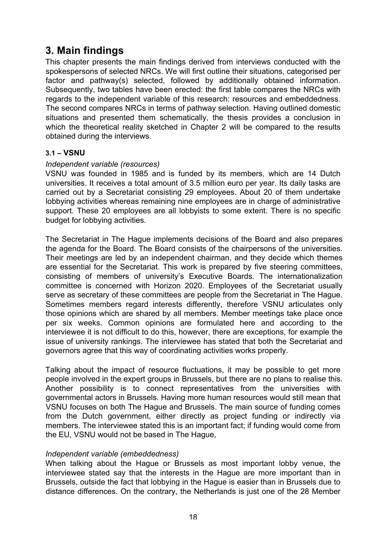## **3. Main findings**

This chapter presents the main findings derived from interviews conducted with the spokespersons of selected NRCs. We will first outline their situations, categorised per factor and pathway(s) selected, followed by additionally obtained information. Subsequently, two tables have been erected: the first table compares the NRCs with regards to the independent variable of this research: resources and embeddedness. The second compares NRCs in terms of pathway selection. Having outlined domestic situations and presented them schematically, the thesis provides a conclusion in which the theoretical reality sketched in Chapter 2 will be compared to the results obtained during the interviews.

### **3.1 – VSNU**

### *Independent variable (resources)*

VSNU was founded in 1985 and is funded by its members, which are 14 Dutch universities. It receives a total amount of 3.5 million euro per year. Its daily tasks are carried out by a Secretariat consisting 29 employees. About 20 of them undertake lobbying activities whereas remaining nine employees are in charge of administrative support. These 20 employees are all lobbyists to some extent. There is no specific budget for lobbying activities.

The Secretariat in The Hague implements decisions of the Board and also prepares the agenda for the Board. The Board consists of the chairpersons of the universities. Their meetings are led by an independent chairman, and they decide which themes are essential for the Secretariat. This work is prepared by five steering committees, consisting of members of university's Executive Boards. The internationalization committee is concerned with Horizon 2020. Employees of the Secretariat usually serve as secretary of these committees are people from the Secretariat in The Hague. Sometimes members regard interests differently, therefore VSNU articulates only those opinions which are shared by all members. Member meetings take place once per six weeks. Common opinions are formulated here and according to the interviewee it is not difficult to do this, however, there are exceptions, for example the issue of university rankings. The interviewee has stated that both the Secretariat and governors agree that this way of coordinating activities works properly.

Talking about the impact of resource fluctuations, it may be possible to get more people involved in the expert groups in Brussels, but there are no plans to realise this. Another possibility is to connect representatives from the universities with governmental actors in Brussels. Having more human resources would still mean that VSNU focuses on both The Hague and Brussels. The main source of funding comes from the Dutch government, either directly as project funding or indirectly via members. The interviewee stated this is an important fact; if funding would come from the EU, VSNU would not be based in The Hague,

#### *Independent variable (embeddedness)*

When talking about the Hague or Brussels as most important lobby venue, the interviewee stated say that the interests in the Hague are more important than in Brussels, outside the fact that lobbying in the Hague is easier than in Brussels due to distance differences. On the contrary, the Netherlands is just one of the 28 Member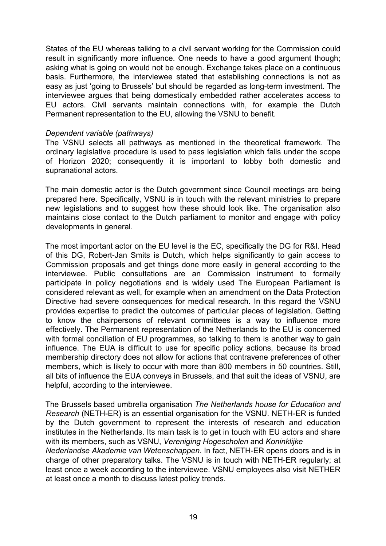States of the EU whereas talking to a civil servant working for the Commission could result in significantly more influence. One needs to have a good argument though; asking what is going on would not be enough. Exchange takes place on a continuous basis. Furthermore, the interviewee stated that establishing connections is not as easy as just 'going to Brussels' but should be regarded as long-term investment. The interviewee argues that being domestically embedded rather accelerates access to EU actors. Civil servants maintain connections with, for example the Dutch Permanent representation to the EU, allowing the VSNU to benefit.

#### *Dependent variable (pathways)*

The VSNU selects all pathways as mentioned in the theoretical framework. The ordinary legislative procedure is used to pass legislation which falls under the scope of Horizon 2020; consequently it is important to lobby both domestic and supranational actors.

The main domestic actor is the Dutch government since Council meetings are being prepared here. Specifically, VSNU is in touch with the relevant ministries to prepare new legislations and to suggest how these should look like. The organisation also maintains close contact to the Dutch parliament to monitor and engage with policy developments in general.

The most important actor on the EU level is the EC, specifically the DG for R&I. Head of this DG, Robert-Jan Smits is Dutch, which helps significantly to gain access to Commission proposals and get things done more easily in general according to the interviewee. Public consultations are an Commission instrument to formally participate in policy negotiations and is widely used The European Parliament is considered relevant as well, for example when an amendment on the Data Protection Directive had severe consequences for medical research. In this regard the VSNU provides expertise to predict the outcomes of particular pieces of legislation. Getting to know the chairpersons of relevant committees is a way to influence more effectively. The Permanent representation of the Netherlands to the EU is concerned with formal conciliation of EU programmes, so talking to them is another way to gain influence. The EUA is difficult to use for specific policy actions, because its broad membership directory does not allow for actions that contravene preferences of other members, which is likely to occur with more than 800 members in 50 countries. Still, all bits of influence the EUA conveys in Brussels, and that suit the ideas of VSNU, are helpful, according to the interviewee.

The Brussels based umbrella organisation *The Netherlands house for Education and Research* (NETH-ER) is an essential organisation for the VSNU. NETH-ER is funded by the Dutch government to represent the interests of research and education institutes in the Netherlands. Its main task is to get in touch with EU actors and share with its members, such as VSNU, *Vereniging Hogescholen* and *Koninklijke* 

*Nederlandse Akademie van Wetenschappen*. In fact, NETH-ER opens doors and is in charge of other preparatory talks. The VSNU is in touch with NETH-ER regularly; at least once a week according to the interviewee. VSNU employees also visit NETHER at least once a month to discuss latest policy trends.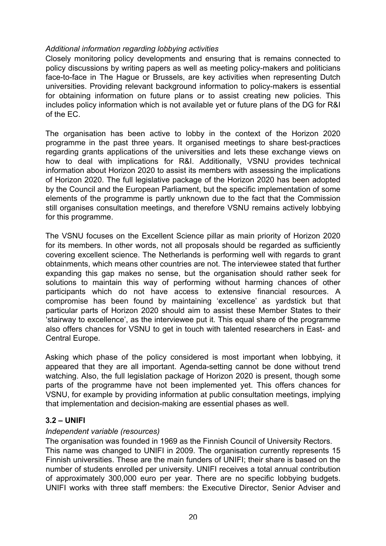### *Additional information regarding lobbying activities*

Closely monitoring policy developments and ensuring that is remains connected to policy discussions by writing papers as well as meeting policy-makers and politicians face-to-face in The Hague or Brussels, are key activities when representing Dutch universities. Providing relevant background information to policy-makers is essential for obtaining information on future plans or to assist creating new policies. This includes policy information which is not available yet or future plans of the DG for R&I of the EC.

The organisation has been active to lobby in the context of the Horizon 2020 programme in the past three years. It organised meetings to share best-practices regarding grants applications of the universities and lets these exchange views on how to deal with implications for R&I. Additionally, VSNU provides technical information about Horizon 2020 to assist its members with assessing the implications of Horizon 2020. The full legislative package of the Horizon 2020 has been adopted by the Council and the European Parliament, but the specific implementation of some elements of the programme is partly unknown due to the fact that the Commission still organises consultation meetings, and therefore VSNU remains actively lobbying for this programme.

The VSNU focuses on the Excellent Science pillar as main priority of Horizon 2020 for its members. In other words, not all proposals should be regarded as sufficiently covering excellent science. The Netherlands is performing well with regards to grant obtainments, which means other countries are not. The interviewee stated that further expanding this gap makes no sense, but the organisation should rather seek for solutions to maintain this way of performing without harming chances of other participants which do not have access to extensive financial resources. A compromise has been found by maintaining 'excellence' as yardstick but that particular parts of Horizon 2020 should aim to assist these Member States to their 'stairway to excellence', as the interviewee put it. This equal share of the programme also offers chances for VSNU to get in touch with talented researchers in East- and Central Europe.

Asking which phase of the policy considered is most important when lobbying, it appeared that they are all important. Agenda-setting cannot be done without trend watching. Also, the full legislation package of Horizon 2020 is present, though some parts of the programme have not been implemented yet. This offers chances for VSNU, for example by providing information at public consultation meetings, implying that implementation and decision-making are essential phases as well.

#### **3.2 – UNIFI**

#### *Independent variable (resources)*

The organisation was founded in 1969 as the Finnish Council of University Rectors. This name was changed to UNIFI in 2009. The organisation currently represents 15 Finnish universities. These are the main funders of UNIFI; their share is based on the number of students enrolled per university. UNIFI receives a total annual contribution of approximately 300,000 euro per year. There are no specific lobbying budgets. UNIFI works with three staff members: the Executive Director, Senior Adviser and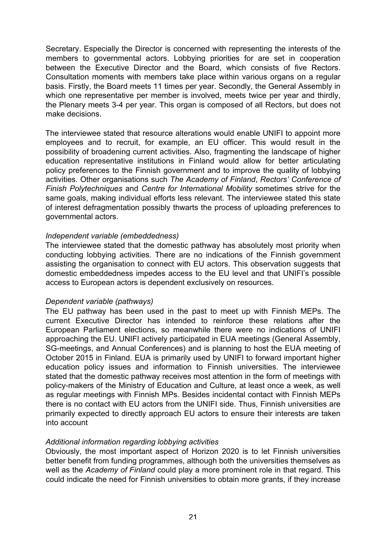Secretary. Especially the Director is concerned with representing the interests of the members to governmental actors. Lobbying priorities for are set in cooperation between the Executive Director and the Board, which consists of five Rectors. Consultation moments with members take place within various organs on a regular basis. Firstly, the Board meets 11 times per year. Secondly, the General Assembly in which one representative per member is involved, meets twice per year and thirdly, the Plenary meets 3-4 per year. This organ is composed of all Rectors, but does not make decisions.

The interviewee stated that resource alterations would enable UNIFI to appoint more employees and to recruit, for example, an EU officer. This would result in the possibility of broadening current activities. Also, fragmenting the landscape of higher education representative institutions in Finland would allow for better articulating policy preferences to the Finnish government and to improve the quality of lobbying activities. Other organisations such *The Academy of Finland*, *Rectors' Conference of Finish Polytechniques* and *Centre for International Mobility* sometimes strive for the same goals, making individual efforts less relevant. The interviewee stated this state of interest defragmentation possibly thwarts the process of uploading preferences to governmental actors.

### *Independent variable (embeddedness)*

The interviewee stated that the domestic pathway has absolutely most priority when conducting lobbying activities. There are no indications of the Finnish government assisting the organisation to connect with EU actors. This observation suggests that domestic embeddedness impedes access to the EU level and that UNIFI's possible access to European actors is dependent exclusively on resources.

#### *Dependent variable (pathways)*

The EU pathway has been used in the past to meet up with Finnish MEPs. The current Executive Director has intended to reinforce these relations after the European Parliament elections, so meanwhile there were no indications of UNIFI approaching the EU. UNIFI actively participated in EUA meetings (General Assembly, SG-meetings, and Annual Conferences) and is planning to host the EUA meeting of October 2015 in Finland. EUA is primarily used by UNIFI to forward important higher education policy issues and information to Finnish universities. The interviewee stated that the domestic pathway receives most attention in the form of meetings with policy-makers of the Ministry of Education and Culture, at least once a week, as well as regular meetings with Finnish MPs. Besides incidental contact with Finnish MEPs there is no contact with EU actors from the UNIFI side. Thus, Finnish universities are primarily expected to directly approach EU actors to ensure their interests are taken into account

## *Additional information regarding lobbying activities*

Obviously, the most important aspect of Horizon 2020 is to let Finnish universities better benefit from funding programmes, although both the universities themselves as well as the *Academy of Finland* could play a more prominent role in that regard. This could indicate the need for Finnish universities to obtain more grants, if they increase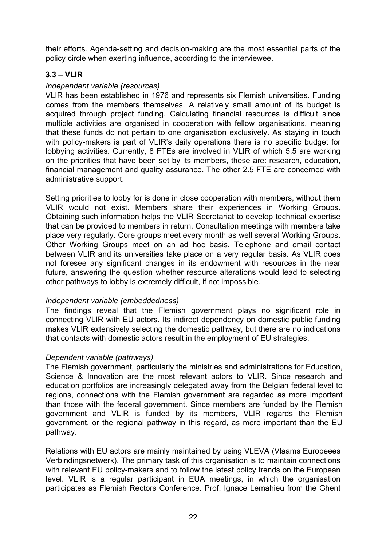their efforts. Agenda-setting and decision-making are the most essential parts of the policy circle when exerting influence, according to the interviewee.

## **3.3 – VLIR**

### *Independent variable (resources)*

VLIR has been established in 1976 and represents six Flemish universities. Funding comes from the members themselves. A relatively small amount of its budget is acquired through project funding. Calculating financial resources is difficult since multiple activities are organised in cooperation with fellow organisations, meaning that these funds do not pertain to one organisation exclusively. As staying in touch with policy-makers is part of VLIR's daily operations there is no specific budget for lobbying activities. Currently, 8 FTEs are involved in VLIR of which 5.5 are working on the priorities that have been set by its members, these are: research, education, financial management and quality assurance. The other 2.5 FTE are concerned with administrative support.

Setting priorities to lobby for is done in close cooperation with members, without them VLIR would not exist. Members share their experiences in Working Groups. Obtaining such information helps the VLIR Secretariat to develop technical expertise that can be provided to members in return. Consultation meetings with members take place very regularly. Core groups meet every month as well several Working Groups. Other Working Groups meet on an ad hoc basis. Telephone and email contact between VLIR and its universities take place on a very regular basis. As VLIR does not foresee any significant changes in its endowment with resources in the near future, answering the question whether resource alterations would lead to selecting other pathways to lobby is extremely difficult, if not impossible.

#### *Independent variable (embeddedness)*

The findings reveal that the Flemish government plays no significant role in connecting VLIR with EU actors. Its indirect dependency on domestic public funding makes VLIR extensively selecting the domestic pathway, but there are no indications that contacts with domestic actors result in the employment of EU strategies.

## *Dependent variable (pathways)*

The Flemish government, particularly the ministries and administrations for Education, Science & Innovation are the most relevant actors to VLIR. Since research and education portfolios are increasingly delegated away from the Belgian federal level to regions, connections with the Flemish government are regarded as more important than those with the federal government. Since members are funded by the Flemish government and VLIR is funded by its members, VLIR regards the Flemish government, or the regional pathway in this regard, as more important than the EU pathway.

Relations with EU actors are mainly maintained by using VLEVA (Vlaams Europeees Verbindingsnetwerk). The primary task of this organisation is to maintain connections with relevant EU policy-makers and to follow the latest policy trends on the European level. VLIR is a regular participant in EUA meetings, in which the organisation participates as Flemish Rectors Conference. Prof. Ignace Lemahieu from the Ghent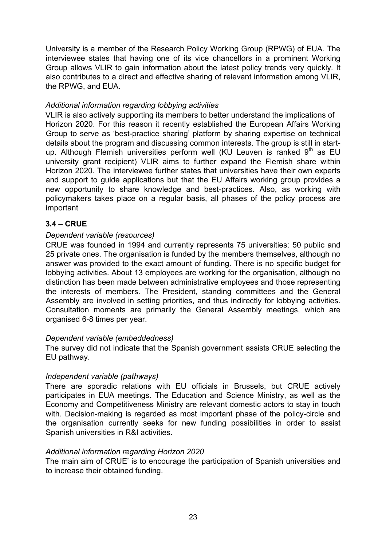University is a member of the Research Policy Working Group (RPWG) of EUA. The interviewee states that having one of its vice chancellors in a prominent Working Group allows VLIR to gain information about the latest policy trends very quickly. It also contributes to a direct and effective sharing of relevant information among VLIR, the RPWG, and EUA.

## *Additional information regarding lobbying activities*

VLIR is also actively supporting its members to better understand the implications of Horizon 2020. For this reason it recently established the European Affairs Working Group to serve as 'best-practice sharing' platform by sharing expertise on technical details about the program and discussing common interests. The group is still in startup. Although Flemish universities perform well (KU Leuven is ranked  $9<sup>th</sup>$  as EU university grant recipient) VLIR aims to further expand the Flemish share within Horizon 2020. The interviewee further states that universities have their own experts and support to guide applications but that the EU Affairs working group provides a new opportunity to share knowledge and best-practices. Also, as working with policymakers takes place on a regular basis, all phases of the policy process are important

## **3.4 – CRUE**

### *Dependent variable (resources)*

CRUE was founded in 1994 and currently represents 75 universities: 50 public and 25 private ones. The organisation is funded by the members themselves, although no answer was provided to the exact amount of funding. There is no specific budget for lobbying activities. About 13 employees are working for the organisation, although no distinction has been made between administrative employees and those representing the interests of members. The President, standing committees and the General Assembly are involved in setting priorities, and thus indirectly for lobbying activities. Consultation moments are primarily the General Assembly meetings, which are organised 6-8 times per year.

#### *Dependent variable (embeddedness)*

The survey did not indicate that the Spanish government assists CRUE selecting the EU pathway.

#### *Independent variable (pathways)*

There are sporadic relations with EU officials in Brussels, but CRUE actively participates in EUA meetings. The Education and Science Ministry, as well as the Economy and Competitiveness Ministry are relevant domestic actors to stay in touch with. Decision-making is regarded as most important phase of the policy-circle and the organisation currently seeks for new funding possibilities in order to assist Spanish universities in R&I activities.

#### *Additional information regarding Horizon 2020*

The main aim of CRUE' is to encourage the participation of Spanish universities and to increase their obtained funding.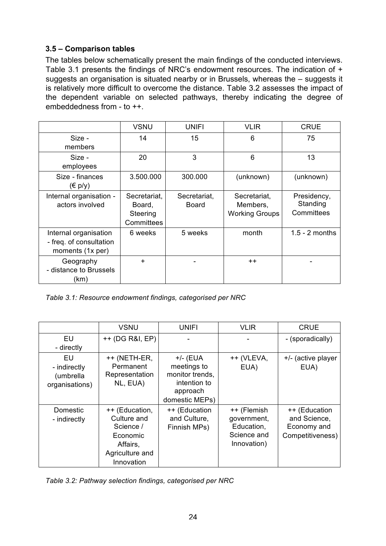## **3.5 – Comparison tables**

The tables below schematically present the main findings of the conducted interviews. Table 3.1 presents the findings of NRC's endowment resources. The indication of + suggests an organisation is situated nearby or in Brussels, whereas the – suggests it is relatively more difficult to overcome the distance. Table 3.2 assesses the impact of the dependent variable on selected pathways, thereby indicating the degree of embeddedness from - to ++.

|                                                                      | <b>VSNU</b>                                      | <b>UNIFI</b>                 | <b>VLIR</b>                                       | <b>CRUE</b>                           |
|----------------------------------------------------------------------|--------------------------------------------------|------------------------------|---------------------------------------------------|---------------------------------------|
| Size -<br>members                                                    | 14                                               | 15                           | 6                                                 | 75                                    |
| Size -<br>employees                                                  | 20                                               | 3                            | 6                                                 | 13                                    |
| Size - finances<br>$(\in p/y)$                                       | 3.500.000                                        | 300,000                      | (unknown)                                         | (unknown)                             |
| Internal organisation -<br>actors involved                           | Secretariat,<br>Board,<br>Steering<br>Committees | Secretariat,<br><b>Board</b> | Secretariat,<br>Members,<br><b>Working Groups</b> | Presidency,<br>Standing<br>Committees |
| Internal organisation<br>- freq. of consultation<br>moments (1x per) | 6 weeks                                          | 5 weeks                      | month                                             | $1.5 - 2$ months                      |
| Geography<br>- distance to Brussels<br>(km)                          | $+$                                              |                              | $++$                                              |                                       |

*Table 3.1: Resource endowment findings, categorised per NRC* 

|                                                   | <b>VSNU</b>                                                                                         | <b>UNIFI</b>                                                                               | <b>VLIR</b>                                                            | <b>CRUE</b>                                                      |
|---------------------------------------------------|-----------------------------------------------------------------------------------------------------|--------------------------------------------------------------------------------------------|------------------------------------------------------------------------|------------------------------------------------------------------|
| EU<br>- directly                                  | ++ (DG R&I, EP)                                                                                     |                                                                                            |                                                                        | - (sporadically)                                                 |
| EU<br>- indirectly<br>(umbrella<br>organisations) | ++ (NETH-ER,<br>Permanent<br>Representation<br>NL, EUA)                                             | $+/-$ (EUA<br>meetings to<br>monitor trends,<br>intention to<br>approach<br>domestic MEPs) | ++ (VLEVA,<br>EUA)                                                     | +/- (active player<br>EUA)                                       |
| Domestic<br>- indirectly                          | ++ (Education,<br>Culture and<br>Science /<br>Economic<br>Affairs,<br>Agriculture and<br>Innovation | ++ (Education<br>and Culture,<br>Finnish MPs)                                              | ++ (Flemish<br>government,<br>Education,<br>Science and<br>Innovation) | ++ (Education<br>and Science,<br>Economy and<br>Competitiveness) |

*Table 3.2: Pathway selection findings, categorised per NRC*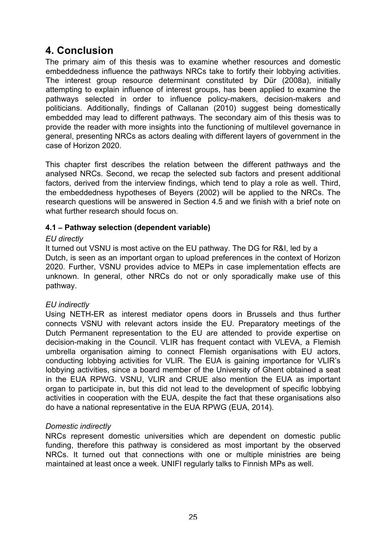## **4. Conclusion**

The primary aim of this thesis was to examine whether resources and domestic embeddedness influence the pathways NRCs take to fortify their lobbying activities. The interest group resource determinant constituted by Dür (2008a), initially attempting to explain influence of interest groups, has been applied to examine the pathways selected in order to influence policy-makers, decision-makers and politicians. Additionally, findings of Callanan (2010) suggest being domestically embedded may lead to different pathways. The secondary aim of this thesis was to provide the reader with more insights into the functioning of multilevel governance in general, presenting NRCs as actors dealing with different layers of government in the case of Horizon 2020.

This chapter first describes the relation between the different pathways and the analysed NRCs. Second, we recap the selected sub factors and present additional factors, derived from the interview findings, which tend to play a role as well. Third, the embeddedness hypotheses of Beyers (2002) will be applied to the NRCs. The research questions will be answered in Section 4.5 and we finish with a brief note on what further research should focus on.

## **4.1 – Pathway selection (dependent variable)**

## *EU directly*

It turned out VSNU is most active on the EU pathway. The DG for R&I, led by a Dutch, is seen as an important organ to upload preferences in the context of Horizon 2020. Further, VSNU provides advice to MEPs in case implementation effects are unknown. In general, other NRCs do not or only sporadically make use of this pathway.

## *EU indirectly*

Using NETH-ER as interest mediator opens doors in Brussels and thus further connects VSNU with relevant actors inside the EU. Preparatory meetings of the Dutch Permanent representation to the EU are attended to provide expertise on decision-making in the Council. VLIR has frequent contact with VLEVA, a Flemish umbrella organisation aiming to connect Flemish organisations with EU actors, conducting lobbying activities for VLIR. The EUA is gaining importance for VLIR's lobbying activities, since a board member of the University of Ghent obtained a seat in the EUA RPWG. VSNU, VLIR and CRUE also mention the EUA as important organ to participate in, but this did not lead to the development of specific lobbying activities in cooperation with the EUA, despite the fact that these organisations also do have a national representative in the EUA RPWG (EUA, 2014).

## *Domestic indirectly*

NRCs represent domestic universities which are dependent on domestic public funding, therefore this pathway is considered as most important by the observed NRCs. It turned out that connections with one or multiple ministries are being maintained at least once a week. UNIFI regularly talks to Finnish MPs as well.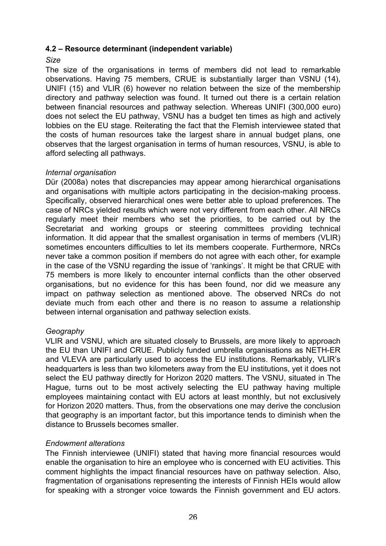### **4.2 – Resource determinant (independent variable)**

#### *Size*

The size of the organisations in terms of members did not lead to remarkable observations. Having 75 members, CRUE is substantially larger than VSNU (14), UNIFI (15) and VLIR (6) however no relation between the size of the membership directory and pathway selection was found. It turned out there is a certain relation between financial resources and pathway selection. Whereas UNIFI (300,000 euro) does not select the EU pathway, VSNU has a budget ten times as high and actively lobbies on the EU stage. Reiterating the fact that the Flemish interviewee stated that the costs of human resources take the largest share in annual budget plans, one observes that the largest organisation in terms of human resources, VSNU, is able to afford selecting all pathways.

#### *Internal organisation*

Dür (2008a) notes that discrepancies may appear among hierarchical organisations and organisations with multiple actors participating in the decision-making process. Specifically, observed hierarchical ones were better able to upload preferences. The case of NRCs yielded results which were not very different from each other. All NRCs regularly meet their members who set the priorities, to be carried out by the Secretariat and working groups or steering committees providing technical information. It did appear that the smallest organisation in terms of members (VLIR) sometimes encounters difficulties to let its members cooperate. Furthermore, NRCs never take a common position if members do not agree with each other, for example in the case of the VSNU regarding the issue of 'rankings'. It might be that CRUE with 75 members is more likely to encounter internal conflicts than the other observed organisations, but no evidence for this has been found, nor did we measure any impact on pathway selection as mentioned above. The observed NRCs do not deviate much from each other and there is no reason to assume a relationship between internal organisation and pathway selection exists.

## *Geography*

VLIR and VSNU, which are situated closely to Brussels, are more likely to approach the EU than UNIFI and CRUE. Publicly funded umbrella organisations as NETH-ER and VLEVA are particularly used to access the EU institutions. Remarkably, VLIR's headquarters is less than two kilometers away from the EU institutions, yet it does not select the EU pathway directly for Horizon 2020 matters. The VSNU, situated in The Hague, turns out to be most actively selecting the EU pathway having multiple employees maintaining contact with EU actors at least monthly, but not exclusively for Horizon 2020 matters. Thus, from the observations one may derive the conclusion that geography is an important factor, but this importance tends to diminish when the distance to Brussels becomes smaller.

## *Endowment alterations*

The Finnish interviewee (UNIFI) stated that having more financial resources would enable the organisation to hire an employee who is concerned with EU activities. This comment highlights the impact financial resources have on pathway selection. Also, fragmentation of organisations representing the interests of Finnish HEIs would allow for speaking with a stronger voice towards the Finnish government and EU actors.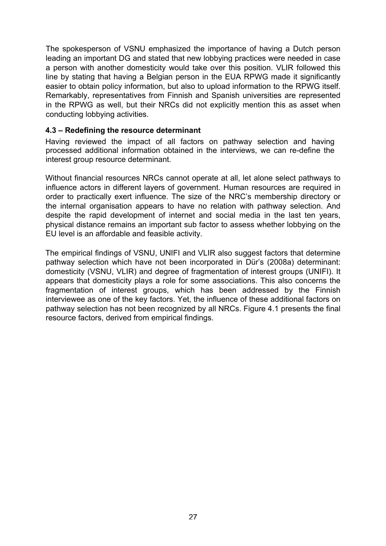The spokesperson of VSNU emphasized the importance of having a Dutch person leading an important DG and stated that new lobbying practices were needed in case a person with another domesticity would take over this position. VLIR followed this line by stating that having a Belgian person in the EUA RPWG made it significantly easier to obtain policy information, but also to upload information to the RPWG itself. Remarkably, representatives from Finnish and Spanish universities are represented in the RPWG as well, but their NRCs did not explicitly mention this as asset when conducting lobbying activities.

#### **4.3 – Redefining the resource determinant**

Having reviewed the impact of all factors on pathway selection and having processed additional information obtained in the interviews, we can re-define the interest group resource determinant.

Without financial resources NRCs cannot operate at all, let alone select pathways to influence actors in different layers of government. Human resources are required in order to practically exert influence. The size of the NRC's membership directory or the internal organisation appears to have no relation with pathway selection. And despite the rapid development of internet and social media in the last ten years, physical distance remains an important sub factor to assess whether lobbying on the EU level is an affordable and feasible activity.

The empirical findings of VSNU, UNIFI and VLIR also suggest factors that determine pathway selection which have not been incorporated in Dür's (2008a) determinant: domesticity (VSNU, VLIR) and degree of fragmentation of interest groups (UNIFI). It appears that domesticity plays a role for some associations. This also concerns the fragmentation of interest groups, which has been addressed by the Finnish interviewee as one of the key factors. Yet, the influence of these additional factors on pathway selection has not been recognized by all NRCs. Figure 4.1 presents the final resource factors, derived from empirical findings.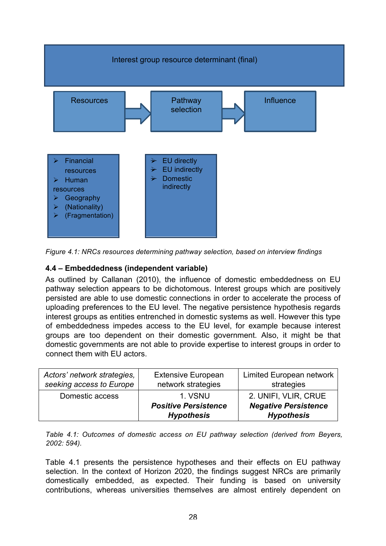

*Figure 4.1: NRCs resources determining pathway selection, based on interview findings* 

## **4.4 – Embeddedness (independent variable)**

As outlined by Callanan (2010), the influence of domestic embeddedness on EU pathway selection appears to be dichotomous. Interest groups which are positively persisted are able to use domestic connections in order to accelerate the process of uploading preferences to the EU level. The negative persistence hypothesis regards interest groups as entities entrenched in domestic systems as well. However this type of embeddedness impedes access to the EU level, for example because interest groups are too dependent on their domestic government. Also, it might be that domestic governments are not able to provide expertise to interest groups in order to connect them with EU actors.

| Actors' network strategies, | <b>Extensive European</b>                                   | <b>Limited European network</b>                                          |
|-----------------------------|-------------------------------------------------------------|--------------------------------------------------------------------------|
| seeking access to Europe    | network strategies                                          | strategies                                                               |
| Domestic access             | 1. VSNU<br><b>Positive Persistence</b><br><b>Hypothesis</b> | 2. UNIFI, VLIR, CRUE<br><b>Negative Persistence</b><br><b>Hypothesis</b> |

*Table 4.1: Outcomes of domestic access on EU pathway selection (derived from Beyers, 2002: 594).* 

Table 4.1 presents the persistence hypotheses and their effects on EU pathway selection. In the context of Horizon 2020, the findings suggest NRCs are primarily domestically embedded, as expected. Their funding is based on university contributions, whereas universities themselves are almost entirely dependent on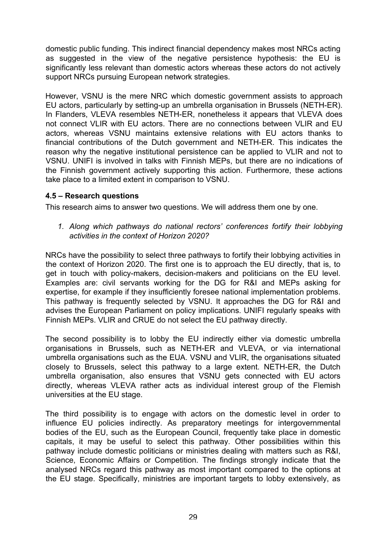domestic public funding. This indirect financial dependency makes most NRCs acting as suggested in the view of the negative persistence hypothesis: the EU is significantly less relevant than domestic actors whereas these actors do not actively support NRCs pursuing European network strategies.

However, VSNU is the mere NRC which domestic government assists to approach EU actors, particularly by setting-up an umbrella organisation in Brussels (NETH-ER). In Flanders, VLEVA resembles NETH-ER, nonetheless it appears that VLEVA does not connect VLIR with EU actors. There are no connections between VLIR and EU actors, whereas VSNU maintains extensive relations with EU actors thanks to financial contributions of the Dutch government and NETH-ER. This indicates the reason why the negative institutional persistence can be applied to VLIR and not to VSNU. UNIFI is involved in talks with Finnish MEPs, but there are no indications of the Finnish government actively supporting this action. Furthermore, these actions take place to a limited extent in comparison to VSNU.

## **4.5 – Research questions**

This research aims to answer two questions. We will address them one by one.

*1. Along which pathways do national rectors' conferences fortify their lobbying activities in the context of Horizon 2020?* 

NRCs have the possibility to select three pathways to fortify their lobbying activities in the context of Horizon 2020. The first one is to approach the EU directly, that is, to get in touch with policy-makers, decision-makers and politicians on the EU level. Examples are: civil servants working for the DG for R&I and MEPs asking for expertise, for example if they insufficiently foresee national implementation problems. This pathway is frequently selected by VSNU. It approaches the DG for R&I and advises the European Parliament on policy implications. UNIFI regularly speaks with Finnish MEPs. VLIR and CRUE do not select the EU pathway directly.

The second possibility is to lobby the EU indirectly either via domestic umbrella organisations in Brussels, such as NETH-ER and VLEVA, or via international umbrella organisations such as the EUA. VSNU and VLIR, the organisations situated closely to Brussels, select this pathway to a large extent. NETH-ER, the Dutch umbrella organisation, also ensures that VSNU gets connected with EU actors directly, whereas VLEVA rather acts as individual interest group of the Flemish universities at the EU stage.

The third possibility is to engage with actors on the domestic level in order to influence EU policies indirectly. As preparatory meetings for intergovernmental bodies of the EU, such as the European Council, frequently take place in domestic capitals, it may be useful to select this pathway. Other possibilities within this pathway include domestic politicians or ministries dealing with matters such as R&I, Science, Economic Affairs or Competition. The findings strongly indicate that the analysed NRCs regard this pathway as most important compared to the options at the EU stage. Specifically, ministries are important targets to lobby extensively, as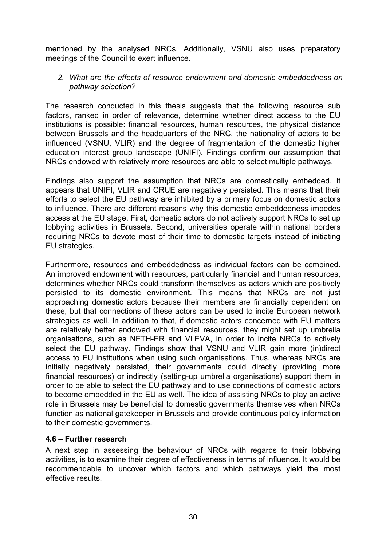mentioned by the analysed NRCs. Additionally, VSNU also uses preparatory meetings of the Council to exert influence.

### *2. What are the effects of resource endowment and domestic embeddedness on pathway selection?*

The research conducted in this thesis suggests that the following resource sub factors, ranked in order of relevance, determine whether direct access to the EU institutions is possible: financial resources, human resources, the physical distance between Brussels and the headquarters of the NRC, the nationality of actors to be influenced (VSNU, VLIR) and the degree of fragmentation of the domestic higher education interest group landscape (UNIFI). Findings confirm our assumption that NRCs endowed with relatively more resources are able to select multiple pathways.

Findings also support the assumption that NRCs are domestically embedded. It appears that UNIFI, VLIR and CRUE are negatively persisted. This means that their efforts to select the EU pathway are inhibited by a primary focus on domestic actors to influence. There are different reasons why this domestic embeddedness impedes access at the EU stage. First, domestic actors do not actively support NRCs to set up lobbying activities in Brussels. Second, universities operate within national borders requiring NRCs to devote most of their time to domestic targets instead of initiating EU strategies.

Furthermore, resources and embeddedness as individual factors can be combined. An improved endowment with resources, particularly financial and human resources, determines whether NRCs could transform themselves as actors which are positively persisted to its domestic environment. This means that NRCs are not just approaching domestic actors because their members are financially dependent on these, but that connections of these actors can be used to incite European network strategies as well. In addition to that, if domestic actors concerned with EU matters are relatively better endowed with financial resources, they might set up umbrella organisations, such as NETH-ER and VLEVA, in order to incite NRCs to actively select the EU pathway. Findings show that VSNU and VLIR gain more (in)direct access to EU institutions when using such organisations. Thus, whereas NRCs are initially negatively persisted, their governments could directly (providing more financial resources) or indirectly (setting-up umbrella organisations) support them in order to be able to select the EU pathway and to use connections of domestic actors to become embedded in the EU as well. The idea of assisting NRCs to play an active role in Brussels may be beneficial to domestic governments themselves when NRCs function as national gatekeeper in Brussels and provide continuous policy information to their domestic governments.

## **4.6 – Further research**

A next step in assessing the behaviour of NRCs with regards to their lobbying activities, is to examine their degree of effectiveness in terms of influence. It would be recommendable to uncover which factors and which pathways yield the most effective results.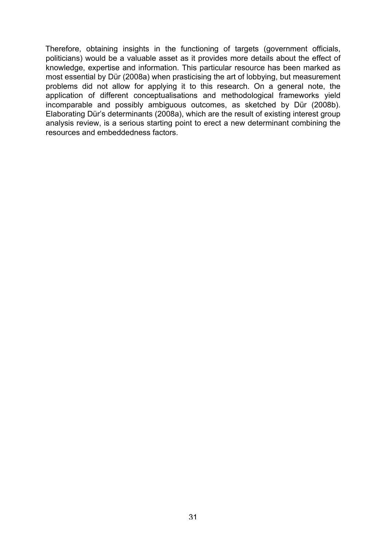Therefore, obtaining insights in the functioning of targets (government officials, politicians) would be a valuable asset as it provides more details about the effect of knowledge, expertise and information. This particular resource has been marked as most essential by Dür (2008a) when prasticising the art of lobbying, but measurement problems did not allow for applying it to this research. On a general note, the application of different conceptualisations and methodological frameworks yield incomparable and possibly ambiguous outcomes, as sketched by Dür (2008b). Elaborating Dür's determinants (2008a), which are the result of existing interest group analysis review, is a serious starting point to erect a new determinant combining the resources and embeddedness factors.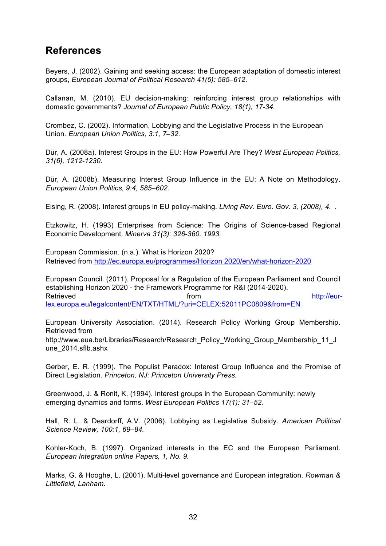## **References**

Beyers, J. (2002). Gaining and seeking access: the European adaptation of domestic interest groups, *European Journal of Political Research 41(5): 585–612*.

Callanan, M. (2010). EU decision-making: reinforcing interest group relationships with domestic governments? *Journal of European Public Policy, 18(1), 17-34.* 

Crombez, C. (2002). Information, Lobbying and the Legislative Process in the European Union*. European Union Politics, 3:1, 7–32.* 

Dür, A. (2008a). Interest Groups in the EU: How Powerful Are They? *West European Politics, 31(6), 1212-1230.* 

Dür, A. (2008b). Measuring Interest Group Influence in the EU: A Note on Methodology. *European Union Politics, 9:4, 585–602.*

Eising, R. (2008). Interest groups in EU policy-making. *Living Rev. Euro. Gov. 3, (2008), 4. .* 

Etzkowitz, H. (1993) Enterprises from Science: The Origins of Science-based Regional Economic Development. *Minerva 31(3): 326-360, 1993.*

European Commission. (n.a.). What is Horizon 2020? Retrieved from http://ec.europa.eu/programmes/Horizon 2020/en/what-horizon-2020

European Council. (2011). Proposal for a Regulation of the European Parliament and Council establishing Horizon 2020 - the Framework Programme for R&I (2014-2020). Retrieved **from http://eur**lex.europa.eu/legalcontent/EN/TXT/HTML/?uri=CELEX:52011PC0809&from=EN

European University Association. (2014). Research Policy Working Group Membership. Retrieved from http://www.eua.be/Libraries/Research/Research\_Policy\_Working\_Group\_Membership\_11\_J

une\_2014.sflb.ashx

Gerber, E. R. (1999). The Populist Paradox: Interest Group Influence and the Promise of Direct Legislation. *Princeton, NJ: Princeton University Press.* 

Greenwood, J. & Ronit, K. (1994). Interest groups in the European Community: newly emerging dynamics and forms. *West European Politics 17(1): 31–52.* 

Hall, R. L. & Deardorff, A.V. (2006). Lobbying as Legislative Subsidy. *American Political Science Review, 100:1, 69–84.* 

Kohler-Koch, B. (1997). Organized interests in the EC and the European Parliament. *European Integration online Papers, 1, No. 9.*

Marks, G. & Hooghe, L. (2001). Multi-level governance and European integration. *Rowman & Littlefield, Lanham.*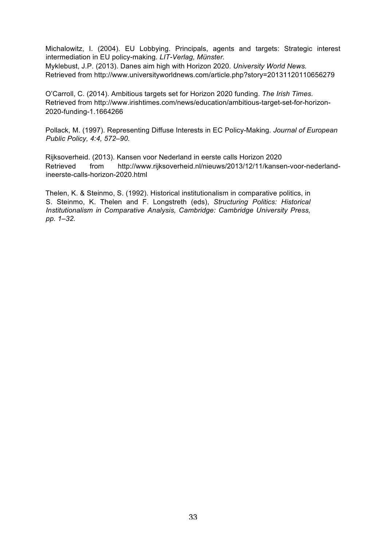Michalowitz, I. (2004). EU Lobbying. Principals, agents and targets: Strategic interest intermediation in EU policy-making. *LIT-Verlag, Münster.* Myklebust, J.P. (2013). Danes aim high with Horizon 2020. *University World News.*

Retrieved from http://www.universityworldnews.com/article.php?story=20131120110656279

O'Carroll, C. (2014). Ambitious targets set for Horizon 2020 funding. *The Irish Times.* Retrieved from http://www.irishtimes.com/news/education/ambitious-target-set-for-horizon-2020-funding-1.1664266

Pollack, M. (1997). Representing Diffuse Interests in EC Policy-Making. *Journal of European Public Policy, 4:4, 572–90.* 

Rijksoverheid. (2013). Kansen voor Nederland in eerste calls Horizon 2020 Retrieved from http://www.rijksoverheid.nl/nieuws/2013/12/11/kansen-voor-nederlandineerste-calls-horizon-2020.html

Thelen, K. & Steinmo, S. (1992). Historical institutionalism in comparative politics, in S. Steinmo, K. Thelen and F. Longstreth (eds), *Structuring Politics: Historical Institutionalism in Comparative Analysis, Cambridge: Cambridge University Press, pp. 1–32.*